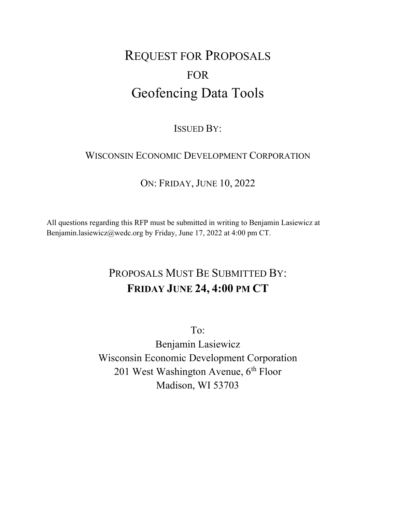# REQUEST FOR PROPOSALS FOR Geofencing Data Tools

### ISSUED BY:

### WISCONSIN ECONOMIC DEVELOPMENT CORPORATION

### ON: FRIDAY, JUNE 10, 2022

All questions regarding this RFP must be submitted in writing to Benjamin Lasiewicz at Benjamin.lasiewicz@wedc.org by Friday, June 17, 2022 at 4:00 pm CT.

## PROPOSALS MUST BE SUBMITTED BY: FRIDAY JUNE 24, 4:00 PM CT

To: Benjamin Lasiewicz Wisconsin Economic Development Corporation 201 West Washington Avenue,  $6<sup>th</sup>$  Floor Madison, WI 53703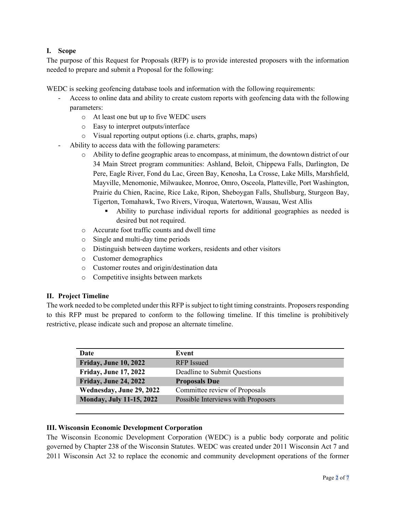#### I. Scope

The purpose of this Request for Proposals (RFP) is to provide interested proposers with the information needed to prepare and submit a Proposal for the following:

WEDC is seeking geofencing database tools and information with the following requirements:

- Access to online data and ability to create custom reports with geofencing data with the following parameters:
	- o At least one but up to five WEDC users
	- o Easy to interpret outputs/interface
	- o Visual reporting output options (i.e. charts, graphs, maps)
- Ability to access data with the following parameters:
	- o Ability to define geographic areas to encompass, at minimum, the downtown district of our 34 Main Street program communities: Ashland, Beloit, Chippewa Falls, Darlington, De Pere, Eagle River, Fond du Lac, Green Bay, Kenosha, La Crosse, Lake Mills, Marshfield, Mayville, Menomonie, Milwaukee, Monroe, Omro, Osceola, Platteville, Port Washington, Prairie du Chien, Racine, Rice Lake, Ripon, Sheboygan Falls, Shullsburg, Sturgeon Bay, Tigerton, Tomahawk, Two Rivers, Viroqua, Watertown, Wausau, West Allis
		- Ability to purchase individual reports for additional geographies as needed is desired but not required.
	- o Accurate foot traffic counts and dwell time
	- o Single and multi-day time periods
	- o Distinguish between daytime workers, residents and other visitors
	- o Customer demographics
	- o Customer routes and origin/destination data
	- o Competitive insights between markets

#### II. Project Timeline

The work needed to be completed under this RFP is subject to tight timing constraints. Proposers responding to this RFP must be prepared to conform to the following timeline. If this timeline is prohibitively restrictive, please indicate such and propose an alternate timeline.

| Date                            | Event                              |
|---------------------------------|------------------------------------|
| <b>Friday, June 10, 2022</b>    | RFP Issued                         |
| <b>Friday, June 17, 2022</b>    | Deadline to Submit Questions       |
| Friday, June 24, 2022           | <b>Proposals Due</b>               |
| Wednesday, June 29, 2022        | Committee review of Proposals      |
| <b>Monday, July 11-15, 2022</b> | Possible Interviews with Proposers |
|                                 |                                    |

#### III. Wisconsin Economic Development Corporation

The Wisconsin Economic Development Corporation (WEDC) is a public body corporate and politic governed by Chapter 238 of the Wisconsin Statutes. WEDC was created under 2011 Wisconsin Act 7 and 2011 Wisconsin Act 32 to replace the economic and community development operations of the former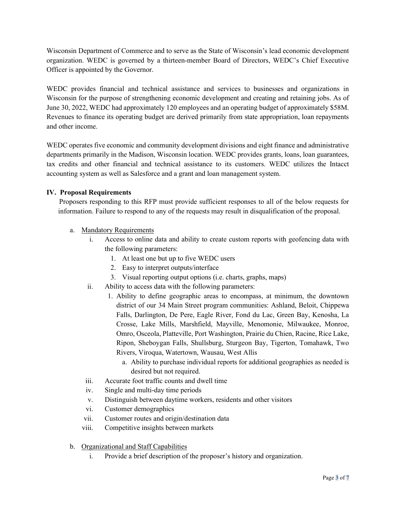Wisconsin Department of Commerce and to serve as the State of Wisconsin's lead economic development organization. WEDC is governed by a thirteen-member Board of Directors, WEDC's Chief Executive Officer is appointed by the Governor.

WEDC provides financial and technical assistance and services to businesses and organizations in Wisconsin for the purpose of strengthening economic development and creating and retaining jobs. As of June 30, 2022, WEDC had approximately 120 employees and an operating budget of approximately \$58M. Revenues to finance its operating budget are derived primarily from state appropriation, loan repayments and other income.

WEDC operates five economic and community development divisions and eight finance and administrative departments primarily in the Madison, Wisconsin location. WEDC provides grants, loans, loan guarantees, tax credits and other financial and technical assistance to its customers. WEDC utilizes the Intacct accounting system as well as Salesforce and a grant and loan management system.

#### IV. Proposal Requirements

Proposers responding to this RFP must provide sufficient responses to all of the below requests for information. Failure to respond to any of the requests may result in disqualification of the proposal.

#### a. Mandatory Requirements

- Access to online data and ability to create custom reports with geofencing data with the following parameters:
	- 1. At least one but up to five WEDC users
	- 2. Easy to interpret outputs/interface
	- 3. Visual reporting output options (i.e. charts, graphs, maps)
- ii. Ability to access data with the following parameters:
	- 1. Ability to define geographic areas to encompass, at minimum, the downtown district of our 34 Main Street program communities: Ashland, Beloit, Chippewa Falls, Darlington, De Pere, Eagle River, Fond du Lac, Green Bay, Kenosha, La Crosse, Lake Mills, Marshfield, Mayville, Menomonie, Milwaukee, Monroe, Omro, Osceola, Platteville, Port Washington, Prairie du Chien, Racine, Rice Lake, Ripon, Sheboygan Falls, Shullsburg, Sturgeon Bay, Tigerton, Tomahawk, Two Rivers, Viroqua, Watertown, Wausau, West Allis
		- a. Ability to purchase individual reports for additional geographies as needed is desired but not required.
- iii. Accurate foot traffic counts and dwell time
- iv. Single and multi-day time periods
- v. Distinguish between daytime workers, residents and other visitors
- vi. Customer demographics
- vii. Customer routes and origin/destination data
- viii. Competitive insights between markets
- b. Organizational and Staff Capabilities
	- i. Provide a brief description of the proposer's history and organization.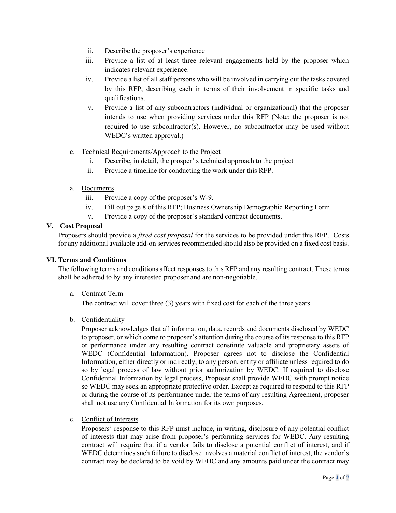- ii. Describe the proposer's experience
- iii. Provide a list of at least three relevant engagements held by the proposer which indicates relevant experience.
- iv. Provide a list of all staff persons who will be involved in carrying out the tasks covered by this RFP, describing each in terms of their involvement in specific tasks and qualifications.
- v. Provide a list of any subcontractors (individual or organizational) that the proposer intends to use when providing services under this RFP (Note: the proposer is not required to use subcontractor(s). However, no subcontractor may be used without WEDC's written approval.)
- c. Technical Requirements/Approach to the Project
	- i. Describe, in detail, the prosper' s technical approach to the project
	- ii. Provide a timeline for conducting the work under this RFP.
- a. Documents
	- iii. Provide a copy of the proposer's W-9.
	- iv. Fill out page 8 of this RFP; Business Ownership Demographic Reporting Form
	- v. Provide a copy of the proposer's standard contract documents.

#### V. Cost Proposal

Proposers should provide a fixed cost proposal for the services to be provided under this RFP. Costs for any additional available add-on services recommended should also be provided on a fixed cost basis.

#### VI. Terms and Conditions

The following terms and conditions affect responses to this RFP and any resulting contract. These terms shall be adhered to by any interested proposer and are non-negotiable.

a. Contract Term

The contract will cover three (3) years with fixed cost for each of the three years.

b. Confidentiality

Proposer acknowledges that all information, data, records and documents disclosed by WEDC to proposer, or which come to proposer's attention during the course of its response to this RFP or performance under any resulting contract constitute valuable and proprietary assets of WEDC (Confidential Information). Proposer agrees not to disclose the Confidential Information, either directly or indirectly, to any person, entity or affiliate unless required to do so by legal process of law without prior authorization by WEDC. If required to disclose Confidential Information by legal process, Proposer shall provide WEDC with prompt notice so WEDC may seek an appropriate protective order. Except as required to respond to this RFP or during the course of its performance under the terms of any resulting Agreement, proposer shall not use any Confidential Information for its own purposes.

c. Conflict of Interests

Proposers' response to this RFP must include, in writing, disclosure of any potential conflict of interests that may arise from proposer's performing services for WEDC. Any resulting contract will require that if a vendor fails to disclose a potential conflict of interest, and if WEDC determines such failure to disclose involves a material conflict of interest, the vendor's contract may be declared to be void by WEDC and any amounts paid under the contract may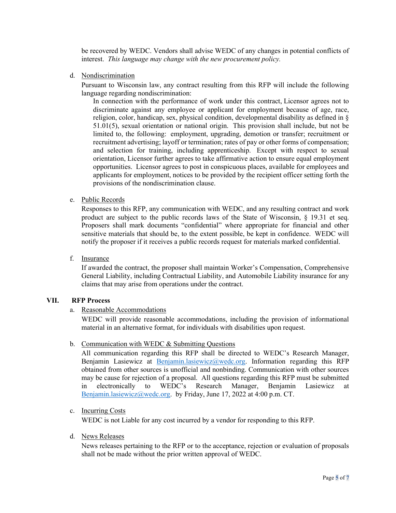be recovered by WEDC. Vendors shall advise WEDC of any changes in potential conflicts of interest. This language may change with the new procurement policy.

d. Nondiscrimination

Pursuant to Wisconsin law, any contract resulting from this RFP will include the following language regarding nondiscrimination:

In connection with the performance of work under this contract, Licensor agrees not to discriminate against any employee or applicant for employment because of age, race, religion, color, handicap, sex, physical condition, developmental disability as defined in § 51.01(5), sexual orientation or national origin. This provision shall include, but not be limited to, the following: employment, upgrading, demotion or transfer; recruitment or recruitment advertising; layoff or termination; rates of pay or other forms of compensation; and selection for training, including apprenticeship. Except with respect to sexual orientation, Licensor further agrees to take affirmative action to ensure equal employment opportunities. Licensor agrees to post in conspicuous places, available for employees and applicants for employment, notices to be provided by the recipient officer setting forth the provisions of the nondiscrimination clause.

e. Public Records

Responses to this RFP, any communication with WEDC, and any resulting contract and work product are subject to the public records laws of the State of Wisconsin, § 19.31 et seq. Proposers shall mark documents "confidential" where appropriate for financial and other sensitive materials that should be, to the extent possible, be kept in confidence. WEDC will notify the proposer if it receives a public records request for materials marked confidential.

f. Insurance

If awarded the contract, the proposer shall maintain Worker's Compensation, Comprehensive General Liability, including Contractual Liability, and Automobile Liability insurance for any claims that may arise from operations under the contract.

#### VII. RFP Process

#### a. Reasonable Accommodations

WEDC will provide reasonable accommodations, including the provision of informational material in an alternative format, for individuals with disabilities upon request.

b. Communication with WEDC & Submitting Questions

All communication regarding this RFP shall be directed to WEDC's Research Manager, Benjamin Lasiewicz at **Benjamin.lasiewicz@wedc.org**. Information regarding this RFP obtained from other sources is unofficial and nonbinding. Communication with other sources may be cause for rejection of a proposal. All questions regarding this RFP must be submitted in electronically to WEDC's Research Manager, Benjamin Lasiewicz at Benjamin.lasiewicz@wedc.org. by Friday, June 17, 2022 at 4:00 p.m. CT.

#### c. Incurring Costs

WEDC is not Liable for any cost incurred by a vendor for responding to this RFP.

d. News Releases

News releases pertaining to the RFP or to the acceptance, rejection or evaluation of proposals shall not be made without the prior written approval of WEDC.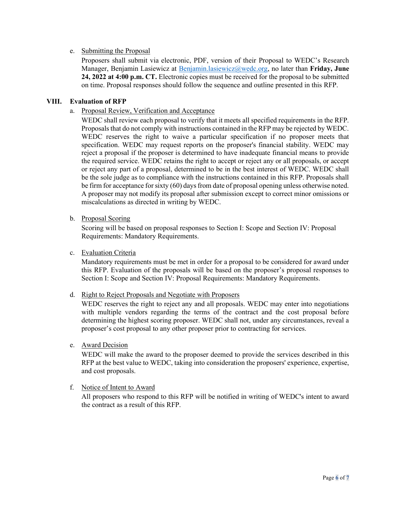#### e. Submitting the Proposal

Proposers shall submit via electronic, PDF, version of their Proposal to WEDC's Research Manager, Benjamin Lasiewicz at Benjamin.lasiewicz@wedc.org, no later than Friday, June 24, 2022 at 4:00 p.m. CT. Electronic copies must be received for the proposal to be submitted on time. Proposal responses should follow the sequence and outline presented in this RFP.

#### VIII. Evaluation of RFP

a. Proposal Review, Verification and Acceptance

WEDC shall review each proposal to verify that it meets all specified requirements in the RFP. Proposals that do not comply with instructions contained in the RFP may be rejected by WEDC. WEDC reserves the right to waive a particular specification if no proposer meets that specification. WEDC may request reports on the proposer's financial stability. WEDC may reject a proposal if the proposer is determined to have inadequate financial means to provide the required service. WEDC retains the right to accept or reject any or all proposals, or accept or reject any part of a proposal, determined to be in the best interest of WEDC. WEDC shall be the sole judge as to compliance with the instructions contained in this RFP. Proposals shall be firm for acceptance for sixty (60) days from date of proposal opening unless otherwise noted. A proposer may not modify its proposal after submission except to correct minor omissions or miscalculations as directed in writing by WEDC.

#### b. Proposal Scoring

Scoring will be based on proposal responses to Section I: Scope and Section IV: Proposal Requirements: Mandatory Requirements.

#### c. Evaluation Criteria

Mandatory requirements must be met in order for a proposal to be considered for award under this RFP. Evaluation of the proposals will be based on the proposer's proposal responses to Section I: Scope and Section IV: Proposal Requirements: Mandatory Requirements.

#### d. Right to Reject Proposals and Negotiate with Proposers

WEDC reserves the right to reject any and all proposals. WEDC may enter into negotiations with multiple vendors regarding the terms of the contract and the cost proposal before determining the highest scoring proposer. WEDC shall not, under any circumstances, reveal a proposer's cost proposal to any other proposer prior to contracting for services.

#### e. Award Decision

WEDC will make the award to the proposer deemed to provide the services described in this RFP at the best value to WEDC, taking into consideration the proposers' experience, expertise, and cost proposals.

#### f. Notice of Intent to Award

All proposers who respond to this RFP will be notified in writing of WEDC's intent to award the contract as a result of this RFP.